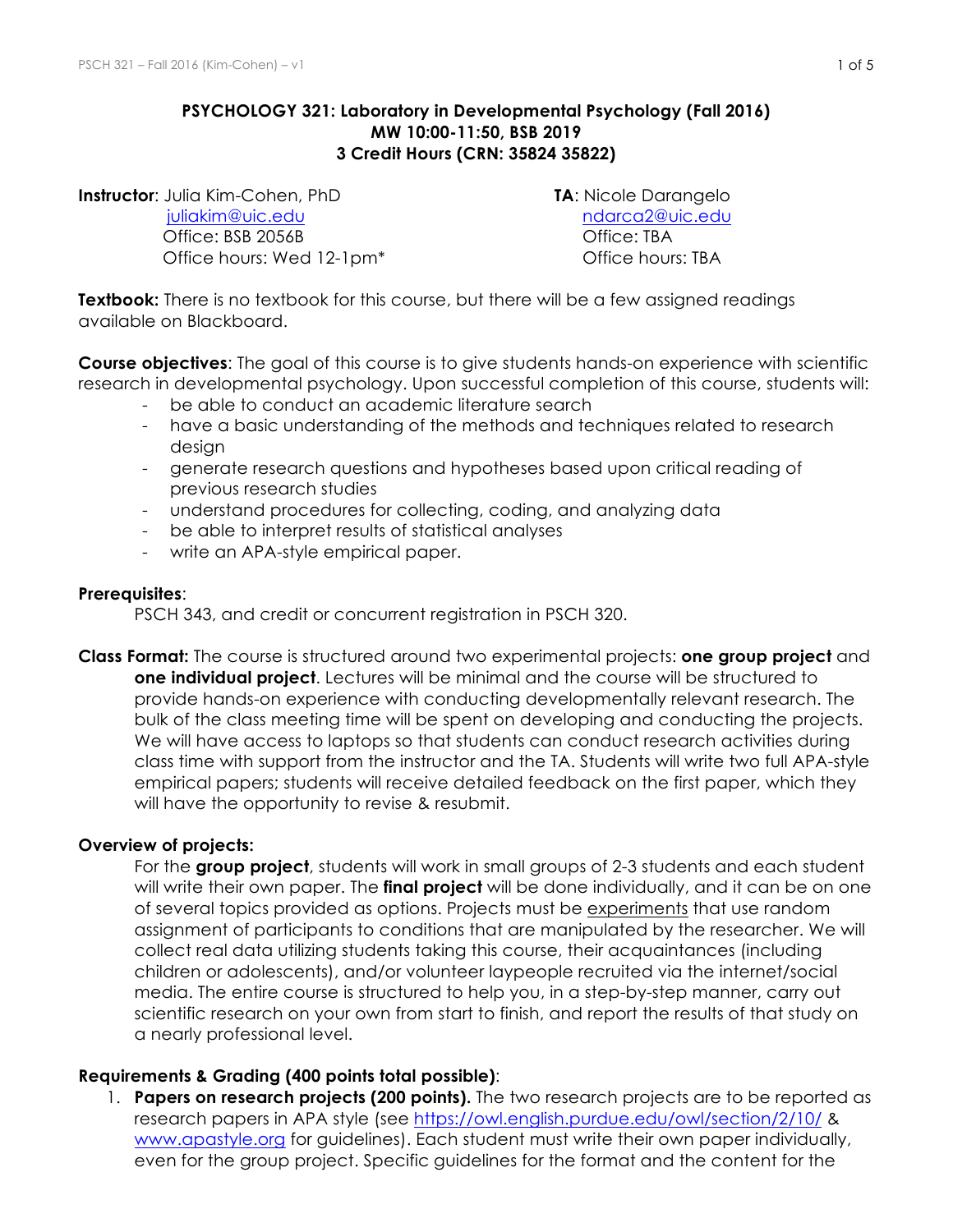#### **PSYCHOLOGY 321: Laboratory in Developmental Psychology (Fall 2016) MW 10:00-11:50, BSB 2019 3 Credit Hours (CRN: 35824 35822)**

**Instructor**: Julia Kim-Cohen, PhD **TA**: Nicole Darangelo juliakim@uic.edu ndarca2@uic.edu Office: BSB 2056B Contract Contract Contract Contract Contract Contract Contract Contract Contract Contract Contract Contract Contract Contract Contract Contract Contract Contract Contract Contract Contract Contract Contra

Office hours: Wed 12-1pm<sup>\*</sup> Chice hours: TBA

**Textbook:** There is no textbook for this course, but there will be a few assigned readings available on Blackboard.

**Course objectives**: The goal of this course is to give students hands-on experience with scientific research in developmental psychology. Upon successful completion of this course, students will:

- be able to conduct an academic literature search
- have a basic understanding of the methods and techniques related to research desian
- generate research questions and hypotheses based upon critical reading of previous research studies
- understand procedures for collecting, coding, and analyzing data
- be able to interpret results of statistical analyses
- write an APA-style empirical paper.

#### **Prerequisites**:

PSCH 343, and credit or concurrent registration in PSCH 320.

**Class Format:** The course is structured around two experimental projects: **one group project** and **one individual project**. Lectures will be minimal and the course will be structured to provide hands-on experience with conducting developmentally relevant research. The bulk of the class meeting time will be spent on developing and conducting the projects. We will have access to laptops so that students can conduct research activities during class time with support from the instructor and the TA. Students will write two full APA-style empirical papers; students will receive detailed feedback on the first paper, which they will have the opportunity to revise & resubmit.

#### **Overview of projects:**

For the **group project**, students will work in small groups of 2-3 students and each student will write their own paper. The **final project** will be done individually, and it can be on one of several topics provided as options. Projects must be experiments that use random assignment of participants to conditions that are manipulated by the researcher. We will collect real data utilizing students taking this course, their acquaintances (including children or adolescents), and/or volunteer laypeople recruited via the internet/social media. The entire course is structured to help you, in a step-by-step manner, carry out scientific research on your own from start to finish, and report the results of that study on a nearly professional level.

#### **Requirements & Grading (400 points total possible)**:

1. **Papers on research projects (200 points).** The two research projects are to be reported as research papers in APA style (see https://owl.english.purdue.edu/owl/section/2/10/ & www.apastyle.org for guidelines). Each student must write their own paper individually, even for the group project. Specific guidelines for the format and the content for the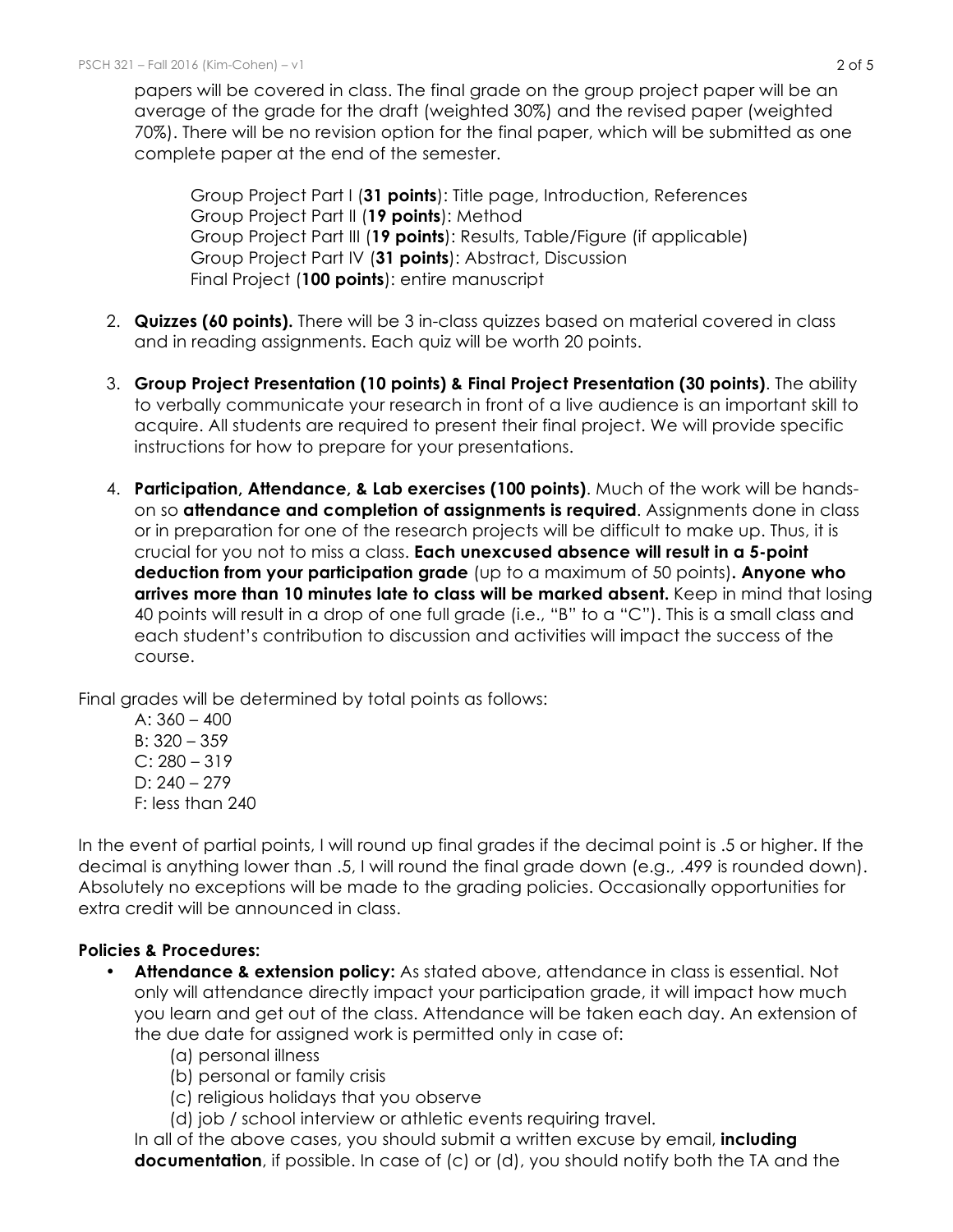papers will be covered in class. The final grade on the group project paper will be an average of the grade for the draft (weighted 30%) and the revised paper (weighted 70%). There will be no revision option for the final paper, which will be submitted as one complete paper at the end of the semester.

Group Project Part I (**31 points**): Title page, Introduction, References Group Project Part II (**19 points**): Method Group Project Part III (**19 points**): Results, Table/Figure (if applicable) Group Project Part IV (**31 points**): Abstract, Discussion Final Project (**100 points**): entire manuscript

- 2. **Quizzes (60 points).** There will be 3 in-class quizzes based on material covered in class and in reading assignments. Each quiz will be worth 20 points.
- 3. **Group Project Presentation (10 points) & Final Project Presentation (30 points)**. The ability to verbally communicate your research in front of a live audience is an important skill to acquire. All students are required to present their final project. We will provide specific instructions for how to prepare for your presentations.
- 4. **Participation, Attendance, & Lab exercises (100 points)**. Much of the work will be handson so **attendance and completion of assignments is required**. Assignments done in class or in preparation for one of the research projects will be difficult to make up. Thus, it is crucial for you not to miss a class. **Each unexcused absence will result in a 5-point deduction from your participation grade** (up to a maximum of 50 points)**. Anyone who arrives more than 10 minutes late to class will be marked absent.** Keep in mind that losing 40 points will result in a drop of one full grade (i.e., "B" to a "C"). This is a small class and each student's contribution to discussion and activities will impact the success of the course.

Final grades will be determined by total points as follows:

A:  $360 - 400$ B: 320 – 359  $C: 280 - 319$ D:  $240 - 279$ F: less than 240

In the event of partial points, I will round up final grades if the decimal point is .5 or higher. If the decimal is anything lower than .5, I will round the final grade down (e.g., .499 is rounded down). Absolutely no exceptions will be made to the grading policies. Occasionally opportunities for extra credit will be announced in class.

### **Policies & Procedures:**

- **Attendance & extension policy:** As stated above, attendance in class is essential. Not only will attendance directly impact your participation grade, it will impact how much you learn and get out of the class. Attendance will be taken each day. An extension of the due date for assigned work is permitted only in case of:
	- (a) personal illness
	- (b) personal or family crisis
	- (c) religious holidays that you observe
	- (d) job / school interview or athletic events requiring travel.

In all of the above cases, you should submit a written excuse by email, **including documentation**, if possible. In case of (c) or (d), you should notify both the TA and the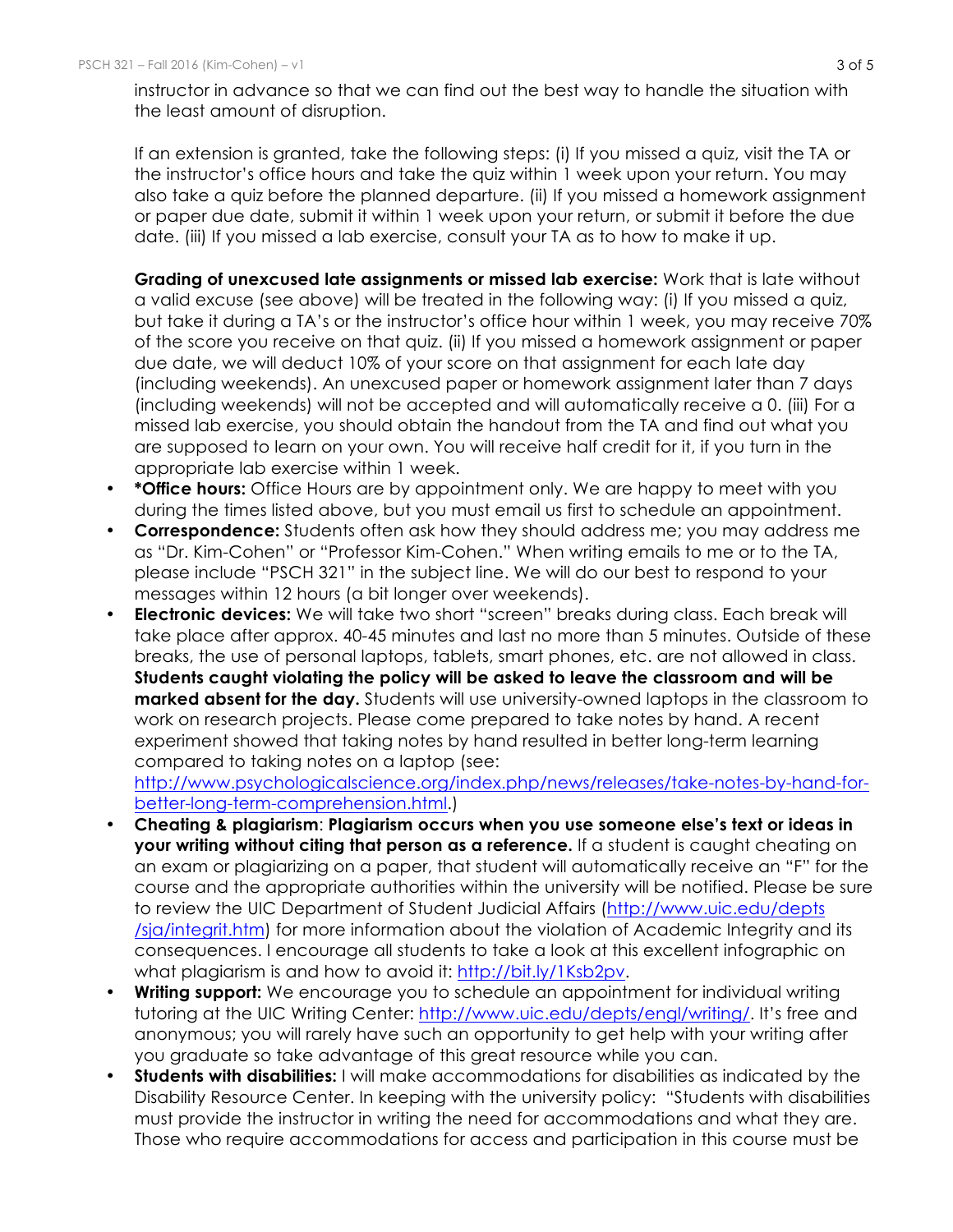instructor in advance so that we can find out the best way to handle the situation with the least amount of disruption.

If an extension is granted, take the following steps: (i) If you missed a quiz, visit the TA or the instructor's office hours and take the quiz within 1 week upon your return. You may also take a quiz before the planned departure. (ii) If you missed a homework assignment or paper due date, submit it within 1 week upon your return, or submit it before the due date. (iii) If you missed a lab exercise, consult your TA as to how to make it up.

**Grading of unexcused late assignments or missed lab exercise:** Work that is late without a valid excuse (see above) will be treated in the following way: (i) If you missed a quiz, but take it during a TA's or the instructor's office hour within 1 week, you may receive 70% of the score you receive on that quiz. (ii) If you missed a homework assignment or paper due date, we will deduct 10% of your score on that assignment for each late day (including weekends). An unexcused paper or homework assignment later than 7 days (including weekends) will not be accepted and will automatically receive a 0. (iii) For a missed lab exercise, you should obtain the handout from the TA and find out what you are supposed to learn on your own. You will receive half credit for it, if you turn in the appropriate lab exercise within 1 week.

- **\*Office hours:** Office Hours are by appointment only. We are happy to meet with you during the times listed above, but you must email us first to schedule an appointment.
- **Correspondence:** Students often ask how they should address me; you may address me as "Dr. Kim-Cohen" or "Professor Kim-Cohen." When writing emails to me or to the TA, please include "PSCH 321" in the subject line. We will do our best to respond to your messages within 12 hours (a bit longer over weekends).
- **Electronic devices:** We will take two short "screen" breaks during class. Each break will take place after approx. 40-45 minutes and last no more than 5 minutes. Outside of these breaks, the use of personal laptops, tablets, smart phones, etc. are not allowed in class. **Students caught violating the policy will be asked to leave the classroom and will be marked absent for the day.** Students will use university-owned laptops in the classroom to work on research projects. Please come prepared to take notes by hand. A recent experiment showed that taking notes by hand resulted in better long-term learning compared to taking notes on a laptop (see:

http://www.psychologicalscience.org/index.php/news/releases/take-notes-by-hand-forbetter-long-term-comprehension.html.)

- **Cheating & plagiarism**: **Plagiarism occurs when you use someone else's text or ideas in your writing without citing that person as a reference.** If a student is caught cheating on an exam or plagiarizing on a paper, that student will automatically receive an "F" for the course and the appropriate authorities within the university will be notified. Please be sure to review the UIC Department of Student Judicial Affairs (http://www.uic.edu/depts /sja/integrit.htm) for more information about the violation of Academic Integrity and its consequences. I encourage all students to take a look at this excellent infographic on what plagiarism is and how to avoid it: http://bit.ly/1Ksb2pv.
- **Writing support:** We encourage you to schedule an appointment for individual writing tutoring at the UIC Writing Center: http://www.uic.edu/depts/engl/writing/. It's free and anonymous; you will rarely have such an opportunity to get help with your writing after you graduate so take advantage of this great resource while you can.
- **Students with disabilities:** I will make accommodations for disabilities as indicated by the Disability Resource Center. In keeping with the university policy: "Students with disabilities must provide the instructor in writing the need for accommodations and what they are. Those who require accommodations for access and participation in this course must be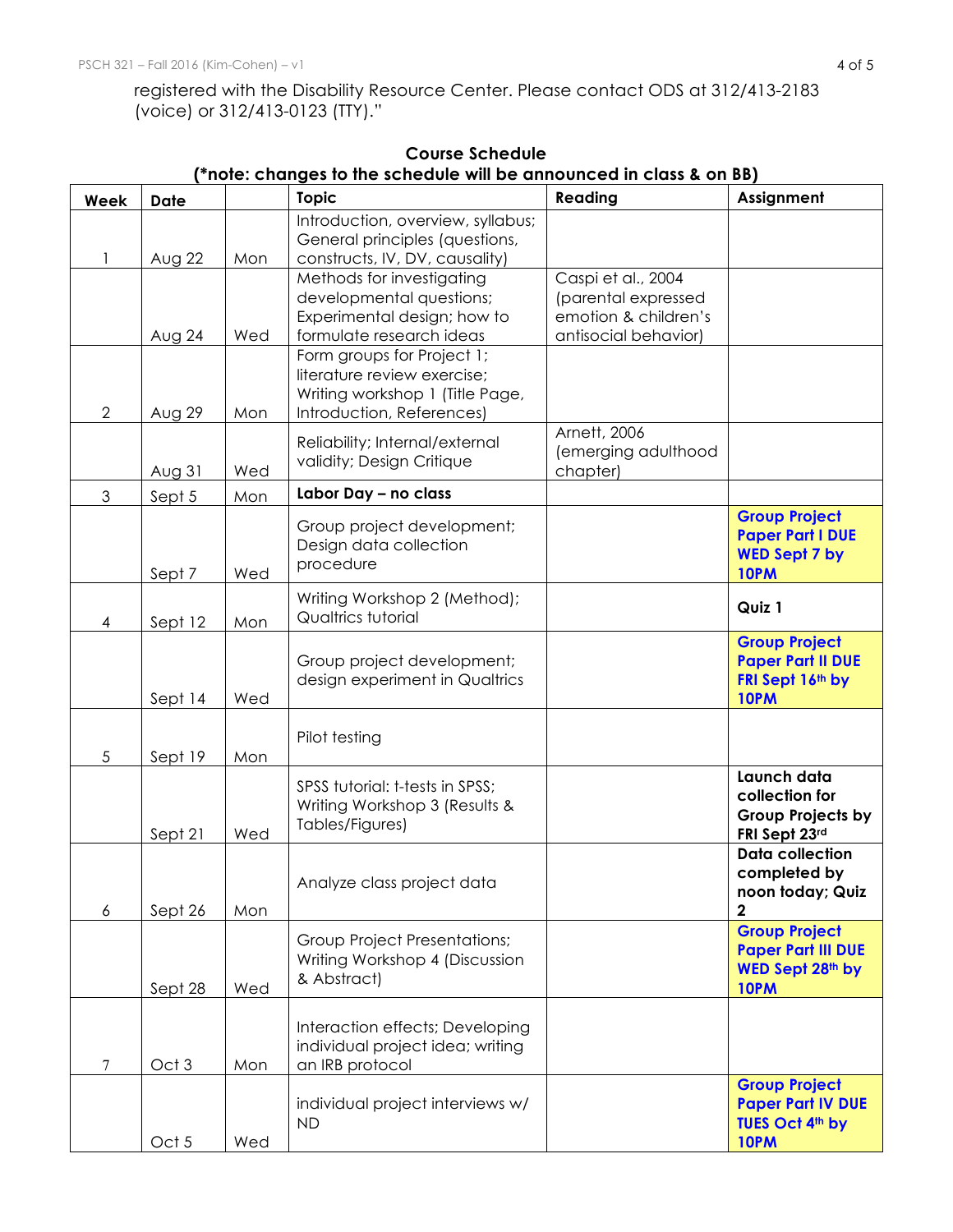registered with the Disability Resource Center. Please contact ODS at 312/413-2183 (voice) or 312/413-0123 (TTY)."

|                |                  |     | note. Changes to the scribbite will be announced in class & on BBJ<br><b>Topic</b>                    | Reading                                      | Assignment                                        |
|----------------|------------------|-----|-------------------------------------------------------------------------------------------------------|----------------------------------------------|---------------------------------------------------|
| Week           | <b>Date</b>      |     |                                                                                                       |                                              |                                                   |
| 1              | Aug 22           | Mon | Introduction, overview, syllabus;<br>General principles (questions,<br>constructs, IV, DV, causality) |                                              |                                                   |
|                |                  |     | Methods for investigating                                                                             | Caspi et al., 2004                           |                                                   |
|                |                  |     | developmental questions;                                                                              | (parental expressed                          |                                                   |
|                | Aug 24           | Wed | Experimental design; how to<br>formulate research ideas                                               | emotion & children's<br>antisocial behavior) |                                                   |
|                |                  |     | Form groups for Project 1;                                                                            |                                              |                                                   |
|                |                  |     | literature review exercise;                                                                           |                                              |                                                   |
|                |                  |     | Writing workshop 1 (Title Page,                                                                       |                                              |                                                   |
| $\overline{2}$ | Aug 29           | Mon | Introduction, References)                                                                             |                                              |                                                   |
|                |                  |     | Reliability; Internal/external                                                                        | Arnett, 2006<br>(emerging adulthood          |                                                   |
|                | Aug 31           | Wed | validity; Design Critique                                                                             | chapter)                                     |                                                   |
| 3              | Sept 5           | Mon | Labor Day - no class                                                                                  |                                              |                                                   |
|                |                  |     | Group project development;                                                                            |                                              | <b>Group Project</b>                              |
|                |                  |     | Design data collection                                                                                |                                              | <b>Paper Part I DUE</b><br><b>WED Sept 7 by</b>   |
|                | Sept 7           | Wed | procedure                                                                                             |                                              | 10PM                                              |
|                |                  |     | Writing Workshop 2 (Method);                                                                          |                                              |                                                   |
| 4              | Sept 12          | Mon | Qualtrics tutorial                                                                                    |                                              | Quiz 1                                            |
|                |                  |     |                                                                                                       |                                              | <b>Group Project</b>                              |
|                |                  |     | Group project development;                                                                            |                                              | <b>Paper Part II DUE</b>                          |
|                | Sept 14          | Wed | design experiment in Qualtrics                                                                        |                                              | FRI Sept 16th by<br>10PM                          |
|                |                  |     |                                                                                                       |                                              |                                                   |
|                |                  |     | Pilot testing                                                                                         |                                              |                                                   |
| 5              | Sept 19          | Mon |                                                                                                       |                                              | Launch data                                       |
|                |                  |     | SPSS tutorial: t-tests in SPSS;                                                                       |                                              | collection for                                    |
|                |                  |     | Writing Workshop 3 (Results &<br>Tables/Figures)                                                      |                                              | <b>Group Projects by</b>                          |
|                | Sept 21          | Wed |                                                                                                       |                                              | FRI Sept 23rd<br><b>Data collection</b>           |
|                |                  |     |                                                                                                       |                                              | completed by                                      |
|                |                  |     | Analyze class project data                                                                            |                                              | noon today; Quiz                                  |
| 6              | Sept 26          | Mon |                                                                                                       |                                              | $\mathbf{2}$                                      |
|                |                  |     | <b>Group Project Presentations;</b>                                                                   |                                              | <b>Group Project</b><br><b>Paper Part III DUE</b> |
|                |                  |     | Writing Workshop 4 (Discussion                                                                        |                                              | WED Sept 28th by                                  |
|                | Sept 28          | Wed | & Abstract)                                                                                           |                                              | 10PM                                              |
|                |                  |     |                                                                                                       |                                              |                                                   |
|                |                  |     | Interaction effects; Developing<br>individual project idea; writing                                   |                                              |                                                   |
| 7              | Oct <sub>3</sub> | Mon | an IRB protocol                                                                                       |                                              |                                                   |
|                |                  |     |                                                                                                       |                                              | <b>Group Project</b>                              |
|                |                  |     | individual project interviews w/<br><b>ND</b>                                                         |                                              | <b>Paper Part IV DUE</b><br>TUES Oct 4th by       |
|                | Oct 5            | Wed |                                                                                                       |                                              | 10PM                                              |

# **Course Schedule**

## **(\*note: changes to the schedule will be announced in class & on BB)**